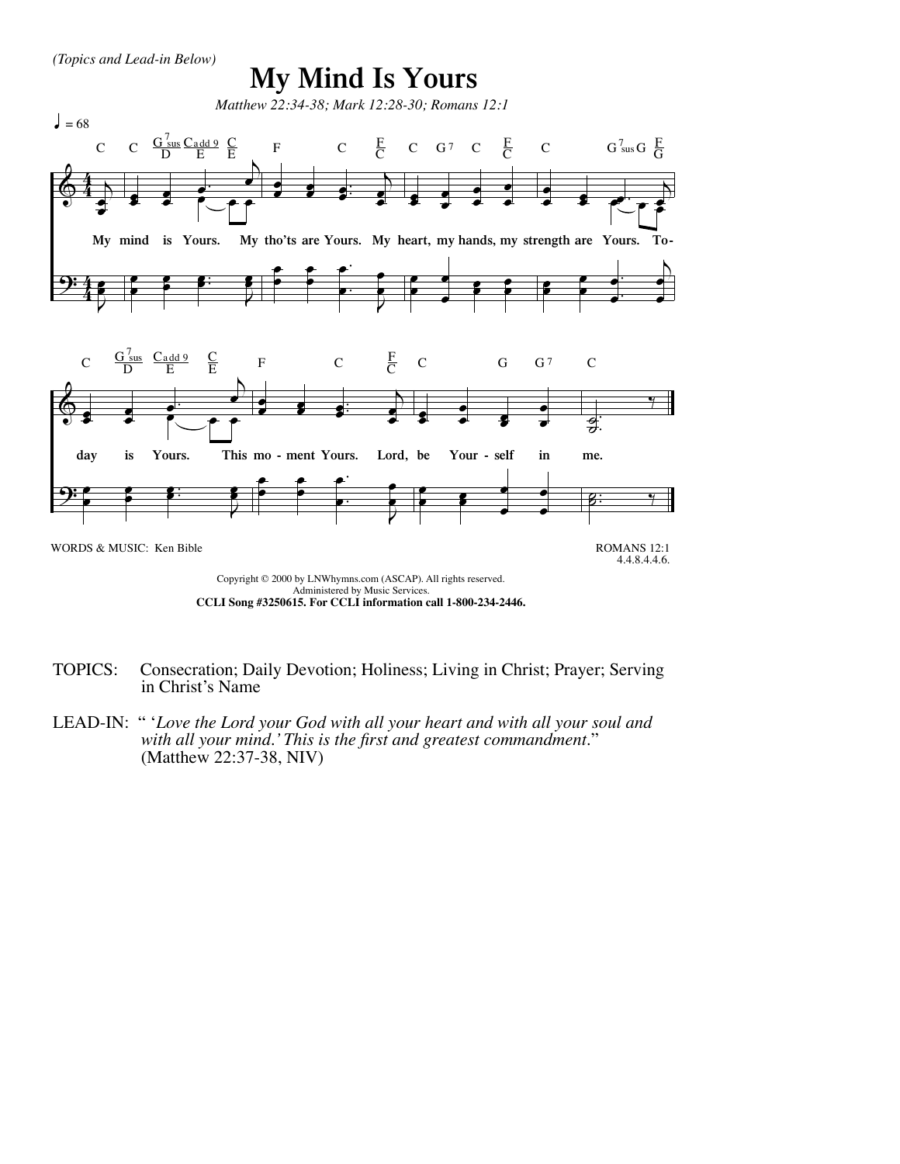## **My Mind Is Yours**



TOPICS: Consecration; Daily Devotion; Holiness; Living in Christ; Prayer; Serving in Christ's Name

LEAD-IN: " '*Love the Lord your God with all your heart and with all your soul and with all your mind.' This is the first and greatest commandment.*" (Matthew 22:37-38, NIV)